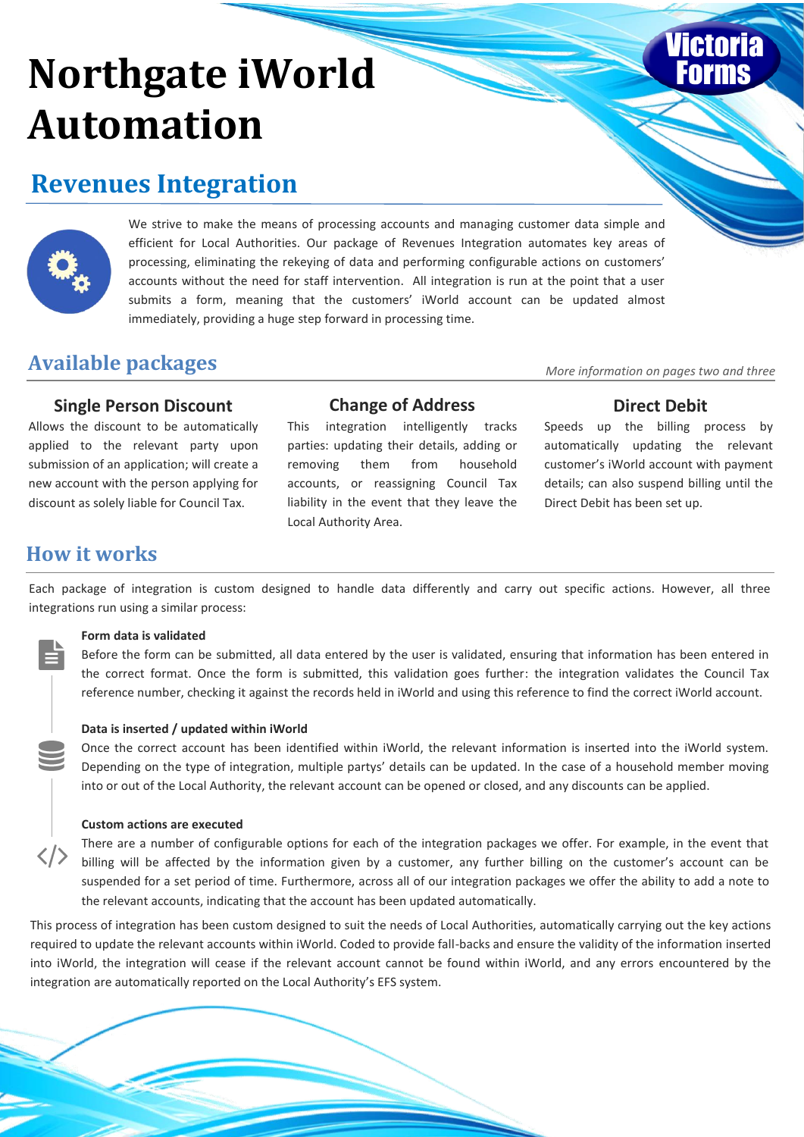# **Northgate iWorld Automation**

## **Revenues Integration**



We strive to make the means of processing accounts and managing customer data simple and efficient for Local Authorities. Our package of Revenues Integration automates key areas of processing, eliminating the rekeying of data and performing configurable actions on customers' accounts without the need for staff intervention. All integration is run at the point that a user submits a form, meaning that the customers' iWorld account can be updated almost immediately, providing a huge step forward in processing time.

## **Available packages** *More information on pages two and three*

### **Single Person Discount Change of Address Direct Debit**

Allows the discount to be automatically applied to the relevant party upon submission of an application; will create a new account with the person applying for discount as solely liable for Council Tax.

This integration intelligently tracks parties: updating their details, adding or removing them from household accounts, or reassigning Council Tax liability in the event that they leave the Local Authority Area.

Speeds up the billing process by automatically updating the relevant customer's iWorld account with payment details; can also suspend billing until the Direct Debit has been set up.

## **How it works**

Each package of integration is custom designed to handle data differently and carry out specific actions. However, all three integrations run using a similar process:

#### **Form data is validated**

Before the form can be submitted, all data entered by the user is validated, ensuring that information has been entered in the correct format. Once the form is submitted, this validation goes further: the integration validates the Council Tax reference number, checking it against the records held in iWorld and using this reference to find the correct iWorld account.

#### **Data is inserted / updated within iWorld**

Once the correct account has been identified within iWorld, the relevant information is inserted into the iWorld system. Depending on the type of integration, multiple partys' details can be updated. In the case of a household member moving into or out of the Local Authority, the relevant account can be opened or closed, and any discounts can be applied.

#### **Custom actions are executed**

There are a number of configurable options for each of the integration packages we offer. For example, in the event that billing will be affected by the information given by a customer, any further billing on the customer's account can be suspended for a set period of time. Furthermore, across all of our integration packages we offer the ability to add a note to the relevant accounts, indicating that the account has been updated automatically.

This process of integration has been custom designed to suit the needs of Local Authorities, automatically carrying out the key actions required to update the relevant accounts within iWorld. Coded to provide fall-backs and ensure the validity of the information inserted into iWorld, the integration will cease if the relevant account cannot be found within iWorld, and any errors encountered by the integration are automatically reported on the Local Authority's EFS system.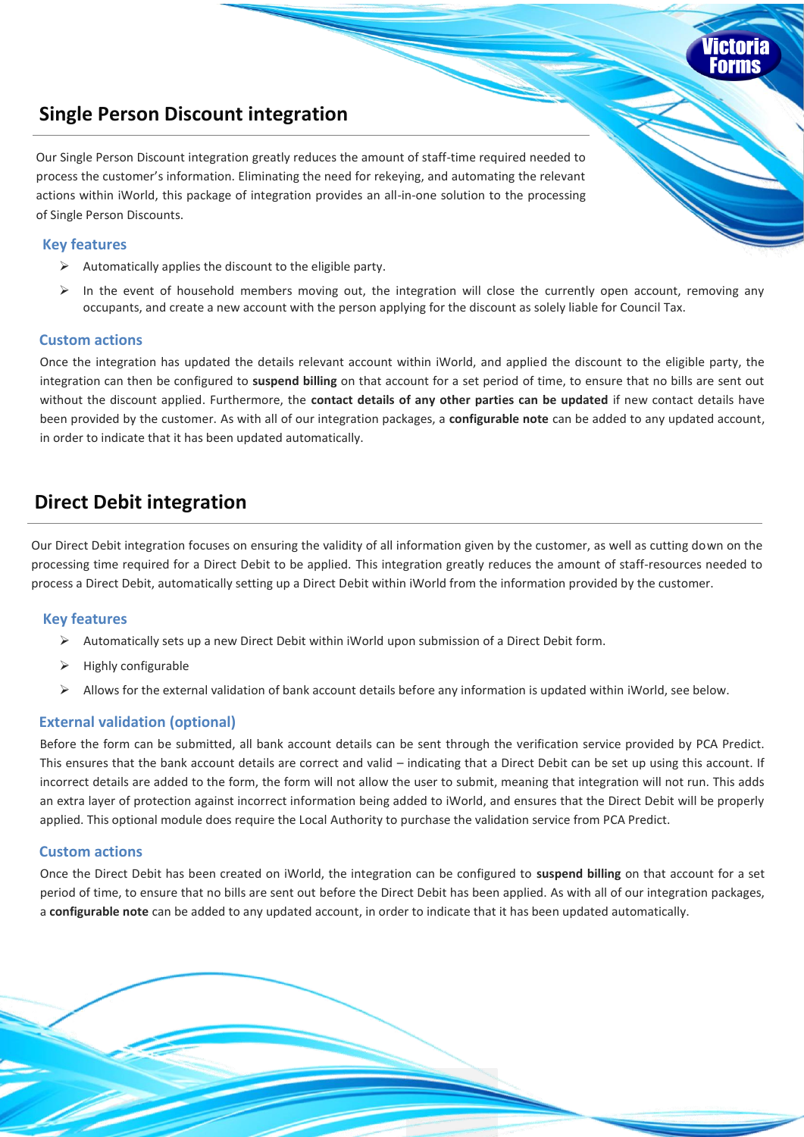### **Single Person Discount integration**

Our Single Person Discount integration greatly reduces the amount of staff-time required needed to process the customer's information. Eliminating the need for rekeying, and automating the relevant actions within iWorld, this package of integration provides an all-in-one solution to the processing of Single Person Discounts.

### **Key features**

- $\triangleright$  Automatically applies the discount to the eligible party.
- $\triangleright$  In the event of household members moving out, the integration will close the currently open account, removing any occupants, and create a new account with the person applying for the discount as solely liable for Council Tax.

#### **Custom actions**

Once the integration has updated the details relevant account within iWorld, and applied the discount to the eligible party, the integration can then be configured to **suspend billing** on that account for a set period of time, to ensure that no bills are sent out without the discount applied. Furthermore, the **contact details of any other parties can be updated** if new contact details have been provided by the customer. As with all of our integration packages, a **configurable note** can be added to any updated account, in order to indicate that it has been updated automatically.

### **Direct Debit integration**

Our Direct Debit integration focuses on ensuring the validity of all information given by the customer, as well as cutting down on the processing time required for a Direct Debit to be applied. This integration greatly reduces the amount of staff-resources needed to process a Direct Debit, automatically setting up a Direct Debit within iWorld from the information provided by the customer.

#### **Key features**

- $\triangleright$  Automatically sets up a new Direct Debit within iWorld upon submission of a Direct Debit form.
- $\triangleright$  Highly configurable
- $\triangleright$  Allows for the external validation of bank account details before any information is updated within iWorld, see below.

### **External validation (optional)**

Before the form can be submitted, all bank account details can be sent through the verification service provided by PCA Predict. This ensures that the bank account details are correct and valid – indicating that a Direct Debit can be set up using this account. If incorrect details are added to the form, the form will not allow the user to submit, meaning that integration will not run. This adds an extra layer of protection against incorrect information being added to iWorld, and ensures that the Direct Debit will be properly applied. This optional module does require the Local Authority to purchase the validation service from PCA Predict.

### **Custom actions**

Once the Direct Debit has been created on iWorld, the integration can be configured to **suspend billing** on that account for a set period of time, to ensure that no bills are sent out before the Direct Debit has been applied. As with all of our integration packages, a **configurable note** can be added to any updated account, in order to indicate that it has been updated automatically.